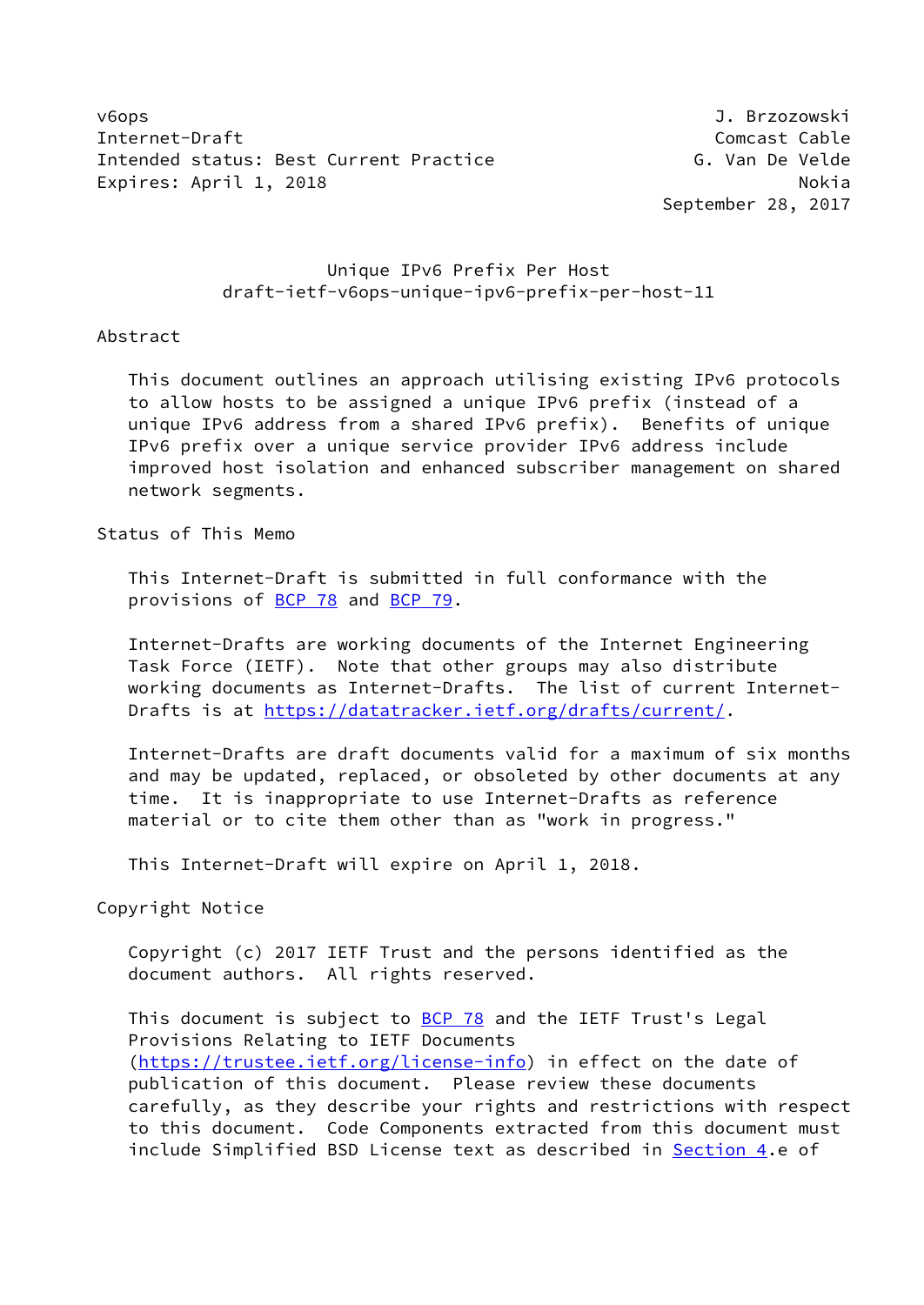v6ops J. Brzozowski Internet-Draft Comcast Cable Intended status: Best Current Practice The Communist C. Van De Velde Expires: April 1, 2018 Nokia

September 28, 2017

# Unique IPv6 Prefix Per Host draft-ietf-v6ops-unique-ipv6-prefix-per-host-11

#### Abstract

 This document outlines an approach utilising existing IPv6 protocols to allow hosts to be assigned a unique IPv6 prefix (instead of a unique IPv6 address from a shared IPv6 prefix). Benefits of unique IPv6 prefix over a unique service provider IPv6 address include improved host isolation and enhanced subscriber management on shared network segments.

Status of This Memo

 This Internet-Draft is submitted in full conformance with the provisions of [BCP 78](https://datatracker.ietf.org/doc/pdf/bcp78) and [BCP 79](https://datatracker.ietf.org/doc/pdf/bcp79).

 Internet-Drafts are working documents of the Internet Engineering Task Force (IETF). Note that other groups may also distribute working documents as Internet-Drafts. The list of current Internet- Drafts is at<https://datatracker.ietf.org/drafts/current/>.

 Internet-Drafts are draft documents valid for a maximum of six months and may be updated, replaced, or obsoleted by other documents at any time. It is inappropriate to use Internet-Drafts as reference material or to cite them other than as "work in progress."

This Internet-Draft will expire on April 1, 2018.

Copyright Notice

 Copyright (c) 2017 IETF Trust and the persons identified as the document authors. All rights reserved.

This document is subject to **[BCP 78](https://datatracker.ietf.org/doc/pdf/bcp78)** and the IETF Trust's Legal Provisions Relating to IETF Documents [\(https://trustee.ietf.org/license-info](https://trustee.ietf.org/license-info)) in effect on the date of publication of this document. Please review these documents carefully, as they describe your rights and restrictions with respect to this document. Code Components extracted from this document must include Simplified BSD License text as described in [Section 4.](#page-4-0)e of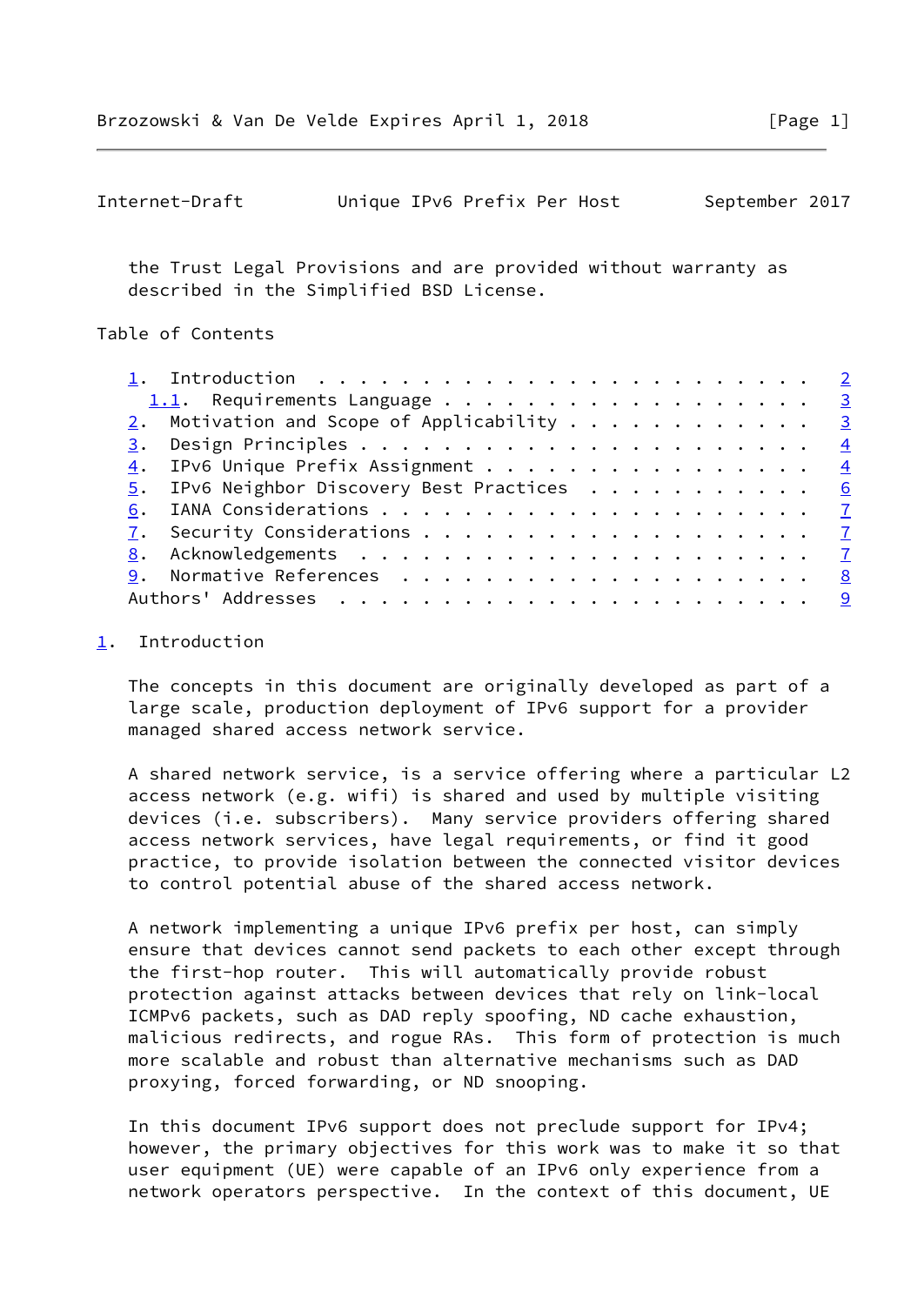```
Internet-Draft Unique IPv6 Prefix Per Host September 2017
```
 the Trust Legal Provisions and are provided without warranty as described in the Simplified BSD License.

## Table of Contents

| 1. Introduction $\ldots \ldots \ldots \ldots \ldots \ldots \ldots \ldots \ldots$ |  |
|----------------------------------------------------------------------------------|--|
| 1.1. Requirements Language 3                                                     |  |
| $2.$ Motivation and Scope of Applicability 3                                     |  |
|                                                                                  |  |
| $\underline{4}$ . IPv6 Unique Prefix Assignment 4                                |  |
| $\underline{5}$ . IPv6 Neighbor Discovery Best Practices 6                       |  |
| 6.                                                                               |  |
|                                                                                  |  |
|                                                                                  |  |
|                                                                                  |  |
|                                                                                  |  |
|                                                                                  |  |

#### <span id="page-1-0"></span>[1](#page-1-0). Introduction

 The concepts in this document are originally developed as part of a large scale, production deployment of IPv6 support for a provider managed shared access network service.

 A shared network service, is a service offering where a particular L2 access network (e.g. wifi) is shared and used by multiple visiting devices (i.e. subscribers). Many service providers offering shared access network services, have legal requirements, or find it good practice, to provide isolation between the connected visitor devices to control potential abuse of the shared access network.

 A network implementing a unique IPv6 prefix per host, can simply ensure that devices cannot send packets to each other except through the first-hop router. This will automatically provide robust protection against attacks between devices that rely on link-local ICMPv6 packets, such as DAD reply spoofing, ND cache exhaustion, malicious redirects, and rogue RAs. This form of protection is much more scalable and robust than alternative mechanisms such as DAD proxying, forced forwarding, or ND snooping.

 In this document IPv6 support does not preclude support for IPv4; however, the primary objectives for this work was to make it so that user equipment (UE) were capable of an IPv6 only experience from a network operators perspective. In the context of this document, UE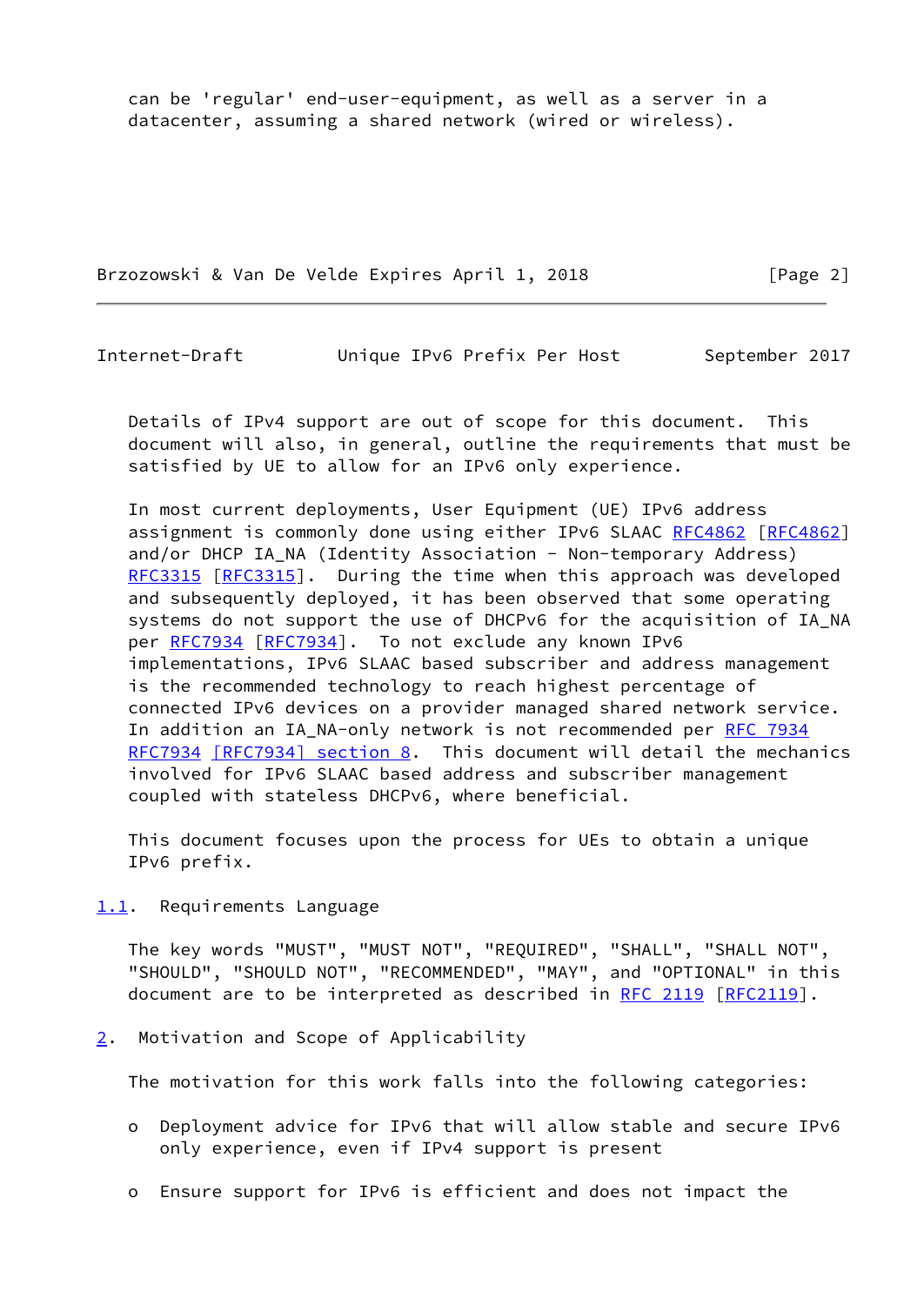can be 'regular' end-user-equipment, as well as a server in a datacenter, assuming a shared network (wired or wireless).

Brzozowski & Van De Velde Expires April 1, 2018 [Page 2]

<span id="page-2-1"></span>Internet-Draft Unique IPv6 Prefix Per Host September 2017

 Details of IPv4 support are out of scope for this document. This document will also, in general, outline the requirements that must be satisfied by UE to allow for an IPv6 only experience.

 In most current deployments, User Equipment (UE) IPv6 address assignment is commonly done using either IPv6 SLAAC [RFC4862 \[RFC4862](https://datatracker.ietf.org/doc/pdf/rfc4862)] and/or DHCP IA\_NA (Identity Association - Non-temporary Address) [RFC3315](https://datatracker.ietf.org/doc/pdf/rfc3315) [\[RFC3315](https://datatracker.ietf.org/doc/pdf/rfc3315)]. During the time when this approach was developed and subsequently deployed, it has been observed that some operating systems do not support the use of DHCPv6 for the acquisition of IA\_NA per [RFC7934 \[RFC7934](https://datatracker.ietf.org/doc/pdf/rfc7934)]. To not exclude any known IPv6 implementations, IPv6 SLAAC based subscriber and address management is the recommended technology to reach highest percentage of connected IPv6 devices on a provider managed shared network service. In addition an IA\_NA-only network is not recommended per [RFC 7934](https://datatracker.ietf.org/doc/pdf/rfc7934) [RFC7934](https://datatracker.ietf.org/doc/pdf/rfc7934) [\[RFC7934\] section](https://datatracker.ietf.org/doc/pdf/rfc7934#section-8) 8. This document will detail the mechanics involved for IPv6 SLAAC based address and subscriber management coupled with stateless DHCPv6, where beneficial.

 This document focuses upon the process for UEs to obtain a unique IPv6 prefix.

<span id="page-2-0"></span>[1.1](#page-2-0). Requirements Language

 The key words "MUST", "MUST NOT", "REQUIRED", "SHALL", "SHALL NOT", "SHOULD", "SHOULD NOT", "RECOMMENDED", "MAY", and "OPTIONAL" in this document are to be interpreted as described in [RFC 2119 \[RFC2119](https://datatracker.ietf.org/doc/pdf/rfc2119)].

<span id="page-2-2"></span>[2](#page-2-2). Motivation and Scope of Applicability

The motivation for this work falls into the following categories:

- o Deployment advice for IPv6 that will allow stable and secure IPv6 only experience, even if IPv4 support is present
- o Ensure support for IPv6 is efficient and does not impact the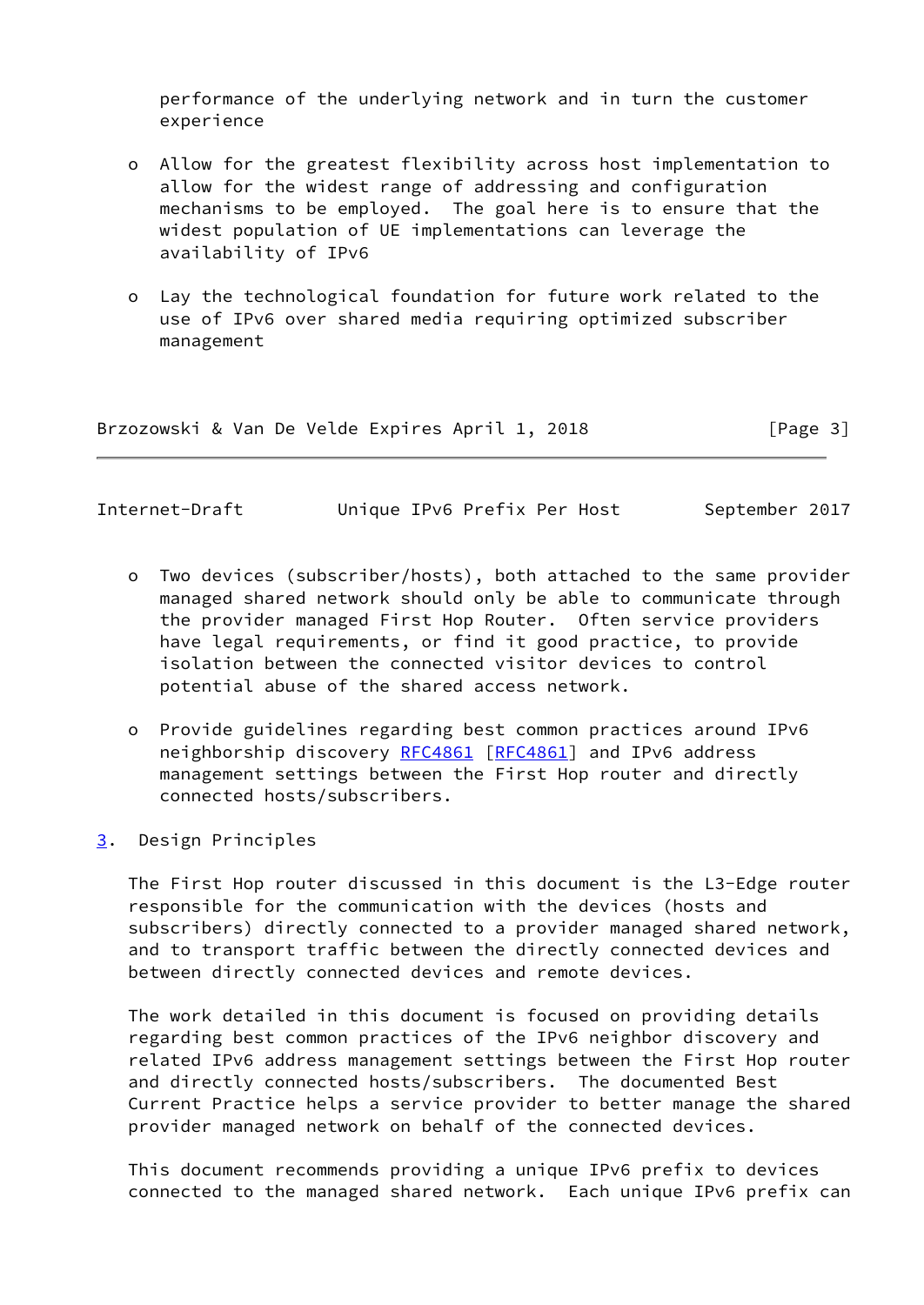performance of the underlying network and in turn the customer experience

- o Allow for the greatest flexibility across host implementation to allow for the widest range of addressing and configuration mechanisms to be employed. The goal here is to ensure that the widest population of UE implementations can leverage the availability of IPv6
- o Lay the technological foundation for future work related to the use of IPv6 over shared media requiring optimized subscriber management

Brzozowski & Van De Velde Expires April 1, 2018 [Page 3]

<span id="page-3-1"></span>Internet-Draft Unique IPv6 Prefix Per Host September 2017

- o Two devices (subscriber/hosts), both attached to the same provider managed shared network should only be able to communicate through the provider managed First Hop Router. Often service providers have legal requirements, or find it good practice, to provide isolation between the connected visitor devices to control potential abuse of the shared access network.
- o Provide guidelines regarding best common practices around IPv6 neighborship discovery [RFC4861](https://datatracker.ietf.org/doc/pdf/rfc4861) [[RFC4861](https://datatracker.ietf.org/doc/pdf/rfc4861)] and IPv6 address management settings between the First Hop router and directly connected hosts/subscribers.
- <span id="page-3-0"></span>[3](#page-3-0). Design Principles

 The First Hop router discussed in this document is the L3-Edge router responsible for the communication with the devices (hosts and subscribers) directly connected to a provider managed shared network, and to transport traffic between the directly connected devices and between directly connected devices and remote devices.

 The work detailed in this document is focused on providing details regarding best common practices of the IPv6 neighbor discovery and related IPv6 address management settings between the First Hop router and directly connected hosts/subscribers. The documented Best Current Practice helps a service provider to better manage the shared provider managed network on behalf of the connected devices.

 This document recommends providing a unique IPv6 prefix to devices connected to the managed shared network. Each unique IPv6 prefix can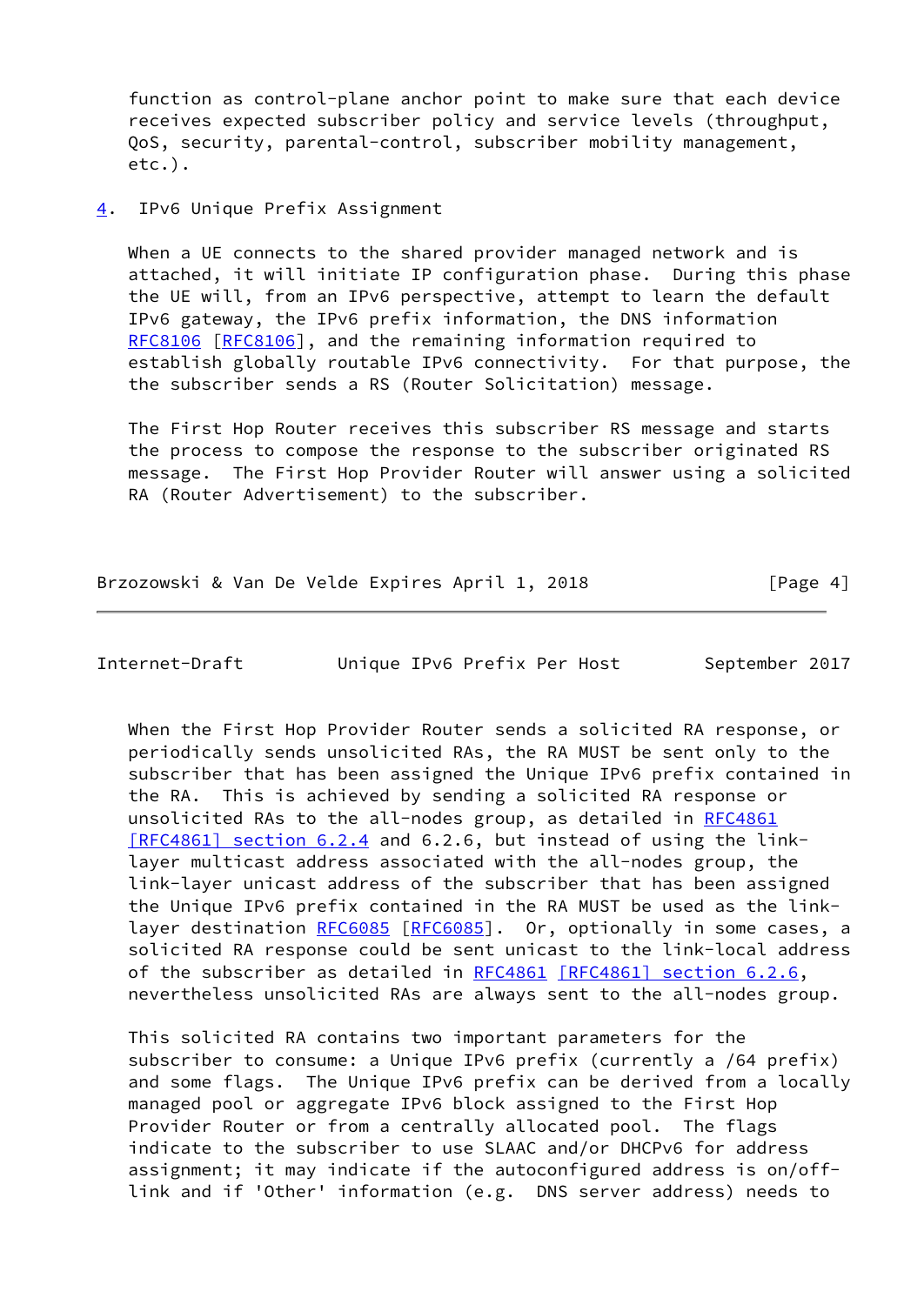function as control-plane anchor point to make sure that each device receives expected subscriber policy and service levels (throughput, QoS, security, parental-control, subscriber mobility management, etc.).

### <span id="page-4-0"></span>[4](#page-4-0). IPv6 Unique Prefix Assignment

 When a UE connects to the shared provider managed network and is attached, it will initiate IP configuration phase. During this phase the UE will, from an IPv6 perspective, attempt to learn the default IPv6 gateway, the IPv6 prefix information, the DNS information [RFC8106](https://datatracker.ietf.org/doc/pdf/rfc8106) [\[RFC8106](https://datatracker.ietf.org/doc/pdf/rfc8106)], and the remaining information required to establish globally routable IPv6 connectivity. For that purpose, the the subscriber sends a RS (Router Solicitation) message.

 The First Hop Router receives this subscriber RS message and starts the process to compose the response to the subscriber originated RS message. The First Hop Provider Router will answer using a solicited RA (Router Advertisement) to the subscriber.

Brzozowski & Van De Velde Expires April 1, 2018 [Page 4]

Internet-Draft Unique IPv6 Prefix Per Host September 2017

 When the First Hop Provider Router sends a solicited RA response, or periodically sends unsolicited RAs, the RA MUST be sent only to the subscriber that has been assigned the Unique IPv6 prefix contained in the RA. This is achieved by sending a solicited RA response or unsolicited RAs to the all-nodes group, as detailed in [RFC4861](https://datatracker.ietf.org/doc/pdf/rfc4861) [\[RFC4861\] section](https://datatracker.ietf.org/doc/pdf/rfc4861#section-6.2.4) 6.2.4 and 6.2.6, but instead of using the link layer multicast address associated with the all-nodes group, the link-layer unicast address of the subscriber that has been assigned the Unique IPv6 prefix contained in the RA MUST be used as the link- layer destination [RFC6085](https://datatracker.ietf.org/doc/pdf/rfc6085) [[RFC6085](https://datatracker.ietf.org/doc/pdf/rfc6085)]. Or, optionally in some cases, a solicited RA response could be sent unicast to the link-local address of the subscriber as detailed in [RFC4861](https://datatracker.ietf.org/doc/pdf/rfc4861) [\[RFC4861\] section](https://datatracker.ietf.org/doc/pdf/rfc4861#section-6.2.6) 6.2.6, nevertheless unsolicited RAs are always sent to the all-nodes group.

 This solicited RA contains two important parameters for the subscriber to consume: a Unique IPv6 prefix (currently a /64 prefix) and some flags. The Unique IPv6 prefix can be derived from a locally managed pool or aggregate IPv6 block assigned to the First Hop Provider Router or from a centrally allocated pool. The flags indicate to the subscriber to use SLAAC and/or DHCPv6 for address assignment; it may indicate if the autoconfigured address is on/off link and if 'Other' information (e.g. DNS server address) needs to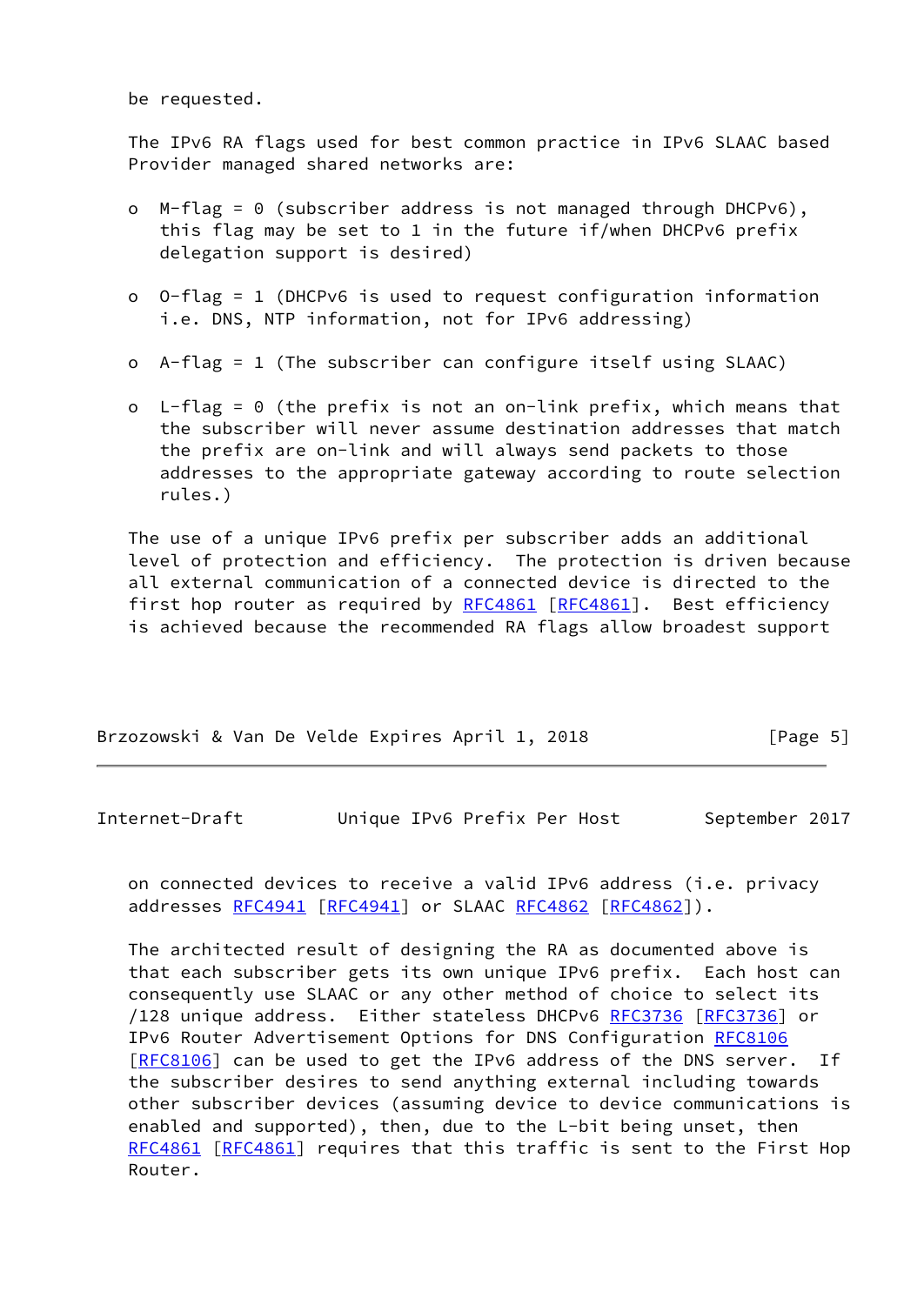be requested.

 The IPv6 RA flags used for best common practice in IPv6 SLAAC based Provider managed shared networks are:

- o M-flag = 0 (subscriber address is not managed through DHCPv6), this flag may be set to 1 in the future if/when DHCPv6 prefix delegation support is desired)
- o O-flag = 1 (DHCPv6 is used to request configuration information i.e. DNS, NTP information, not for IPv6 addressing)
- o A-flag = 1 (The subscriber can configure itself using SLAAC)
- o L-flag = 0 (the prefix is not an on-link prefix, which means that the subscriber will never assume destination addresses that match the prefix are on-link and will always send packets to those addresses to the appropriate gateway according to route selection rules.)

 The use of a unique IPv6 prefix per subscriber adds an additional level of protection and efficiency. The protection is driven because all external communication of a connected device is directed to the first hop router as required by [RFC4861](https://datatracker.ietf.org/doc/pdf/rfc4861) [\[RFC4861](https://datatracker.ietf.org/doc/pdf/rfc4861)]. Best efficiency is achieved because the recommended RA flags allow broadest support

| Brzozowski & Van De Velde Expires April 1, 2018 |  |  |  | [Page 5] |  |
|-------------------------------------------------|--|--|--|----------|--|
|                                                 |  |  |  |          |  |

<span id="page-5-0"></span>Internet-Draft Unique IPv6 Prefix Per Host September 2017

 on connected devices to receive a valid IPv6 address (i.e. privacy addresses [RFC4941](https://datatracker.ietf.org/doc/pdf/rfc4941) [[RFC4941](https://datatracker.ietf.org/doc/pdf/rfc4941)] or SLAAC [RFC4862](https://datatracker.ietf.org/doc/pdf/rfc4862) [\[RFC4862](https://datatracker.ietf.org/doc/pdf/rfc4862)]).

 The architected result of designing the RA as documented above is that each subscriber gets its own unique IPv6 prefix. Each host can consequently use SLAAC or any other method of choice to select its /128 unique address. Either stateless DHCPv6 [RFC3736](https://datatracker.ietf.org/doc/pdf/rfc3736) [[RFC3736](https://datatracker.ietf.org/doc/pdf/rfc3736)] or IPv6 Router Advertisement Options for DNS Configuration [RFC8106](https://datatracker.ietf.org/doc/pdf/rfc8106) [\[RFC8106](https://datatracker.ietf.org/doc/pdf/rfc8106)] can be used to get the IPv6 address of the DNS server. If the subscriber desires to send anything external including towards other subscriber devices (assuming device to device communications is enabled and supported), then, due to the L-bit being unset, then [RFC4861](https://datatracker.ietf.org/doc/pdf/rfc4861) [\[RFC4861](https://datatracker.ietf.org/doc/pdf/rfc4861)] requires that this traffic is sent to the First Hop Router.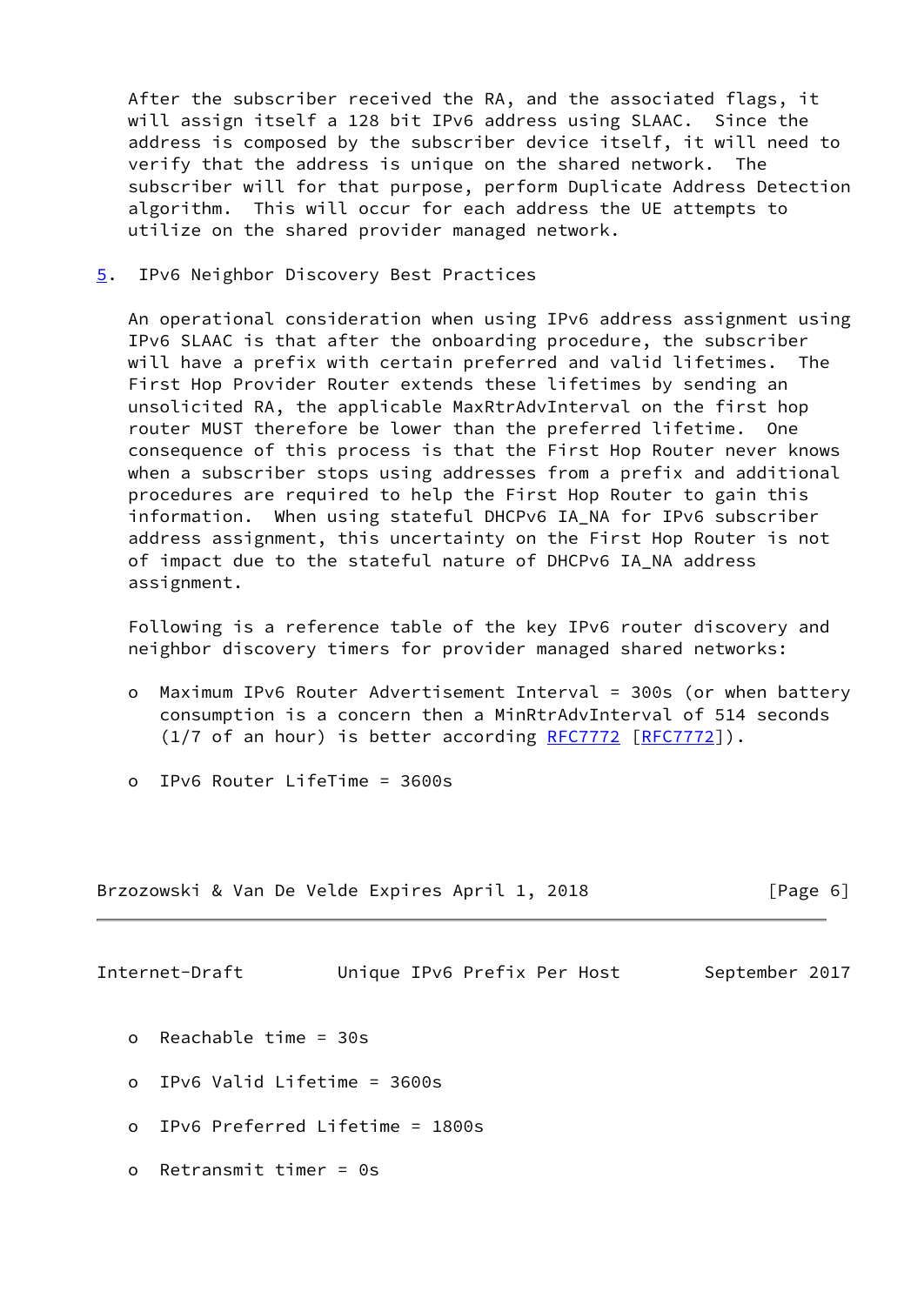After the subscriber received the RA, and the associated flags, it will assign itself a 128 bit IPv6 address using SLAAC. Since the address is composed by the subscriber device itself, it will need to verify that the address is unique on the shared network. The subscriber will for that purpose, perform Duplicate Address Detection algorithm. This will occur for each address the UE attempts to utilize on the shared provider managed network.

<span id="page-6-0"></span>[5](#page-6-0). IPv6 Neighbor Discovery Best Practices

 An operational consideration when using IPv6 address assignment using IPv6 SLAAC is that after the onboarding procedure, the subscriber will have a prefix with certain preferred and valid lifetimes. The First Hop Provider Router extends these lifetimes by sending an unsolicited RA, the applicable MaxRtrAdvInterval on the first hop router MUST therefore be lower than the preferred lifetime. One consequence of this process is that the First Hop Router never knows when a subscriber stops using addresses from a prefix and additional procedures are required to help the First Hop Router to gain this information. When using stateful DHCPv6 IA\_NA for IPv6 subscriber address assignment, this uncertainty on the First Hop Router is not of impact due to the stateful nature of DHCPv6 IA\_NA address assignment.

 Following is a reference table of the key IPv6 router discovery and neighbor discovery timers for provider managed shared networks:

- o Maximum IPv6 Router Advertisement Interval = 300s (or when battery consumption is a concern then a MinRtrAdvInterval of 514 seconds (1/7 of an hour) is better according [RFC7772](https://datatracker.ietf.org/doc/pdf/rfc7772) [\[RFC7772](https://datatracker.ietf.org/doc/pdf/rfc7772)]).
- o IPv6 Router LifeTime = 3600s

Brzozowski & Van De Velde Expires April 1, 2018 **[Page 6]** 

<span id="page-6-1"></span>Internet-Draft Unique IPv6 Prefix Per Host September 2017

- o Reachable time = 30s
- o IPv6 Valid Lifetime = 3600s
- o IPv6 Preferred Lifetime = 1800s
- o Retransmit timer = 0s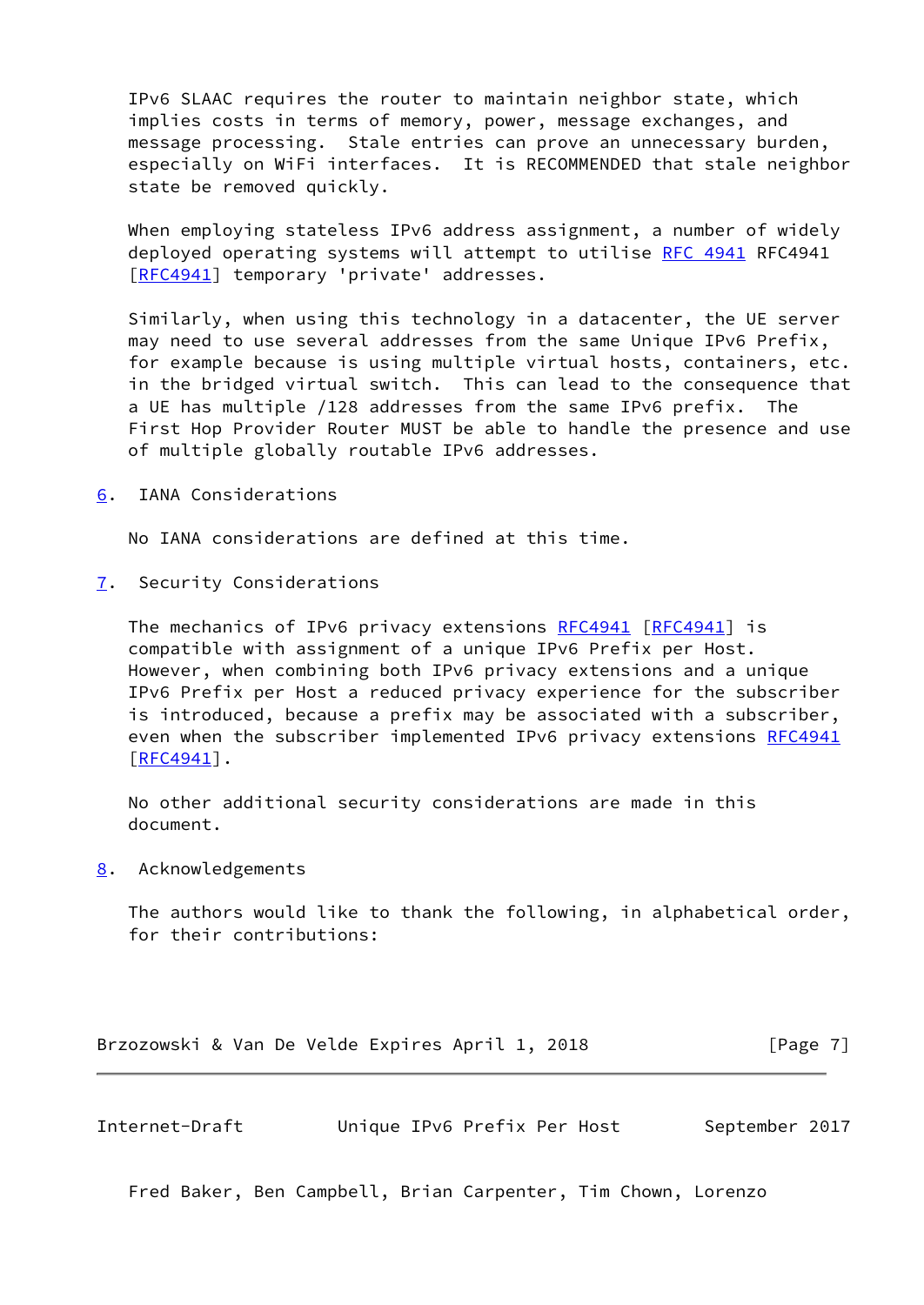IPv6 SLAAC requires the router to maintain neighbor state, which implies costs in terms of memory, power, message exchanges, and message processing. Stale entries can prove an unnecessary burden, especially on WiFi interfaces. It is RECOMMENDED that stale neighbor state be removed quickly.

When emploving stateless IPv6 address assignment, a number of widely deployed operating systems will attempt to utilise [RFC 4941](https://datatracker.ietf.org/doc/pdf/rfc4941) RFC4941 [\[RFC4941](https://datatracker.ietf.org/doc/pdf/rfc4941)] temporary 'private' addresses.

 Similarly, when using this technology in a datacenter, the UE server may need to use several addresses from the same Unique IPv6 Prefix, for example because is using multiple virtual hosts, containers, etc. in the bridged virtual switch. This can lead to the consequence that a UE has multiple /128 addresses from the same IPv6 prefix. The First Hop Provider Router MUST be able to handle the presence and use of multiple globally routable IPv6 addresses.

<span id="page-7-0"></span>[6](#page-7-0). IANA Considerations

No IANA considerations are defined at this time.

<span id="page-7-1"></span>[7](#page-7-1). Security Considerations

The mechanics of IPv6 privacy extensions [RFC4941](https://datatracker.ietf.org/doc/pdf/rfc4941) [\[RFC4941](https://datatracker.ietf.org/doc/pdf/rfc4941)] is compatible with assignment of a unique IPv6 Prefix per Host. However, when combining both IPv6 privacy extensions and a unique IPv6 Prefix per Host a reduced privacy experience for the subscriber is introduced, because a prefix may be associated with a subscriber, even when the subscriber implemented IPv6 privacy extensions [RFC4941](https://datatracker.ietf.org/doc/pdf/rfc4941)  $[RFC4941]$  $[RFC4941]$ .

 No other additional security considerations are made in this document.

<span id="page-7-2"></span>[8](#page-7-2). Acknowledgements

 The authors would like to thank the following, in alphabetical order, for their contributions:

Brzozowski & Van De Velde Expires April 1, 2018 [Page 7]

<span id="page-7-3"></span>Internet-Draft Unique IPv6 Prefix Per Host September 2017

Fred Baker, Ben Campbell, Brian Carpenter, Tim Chown, Lorenzo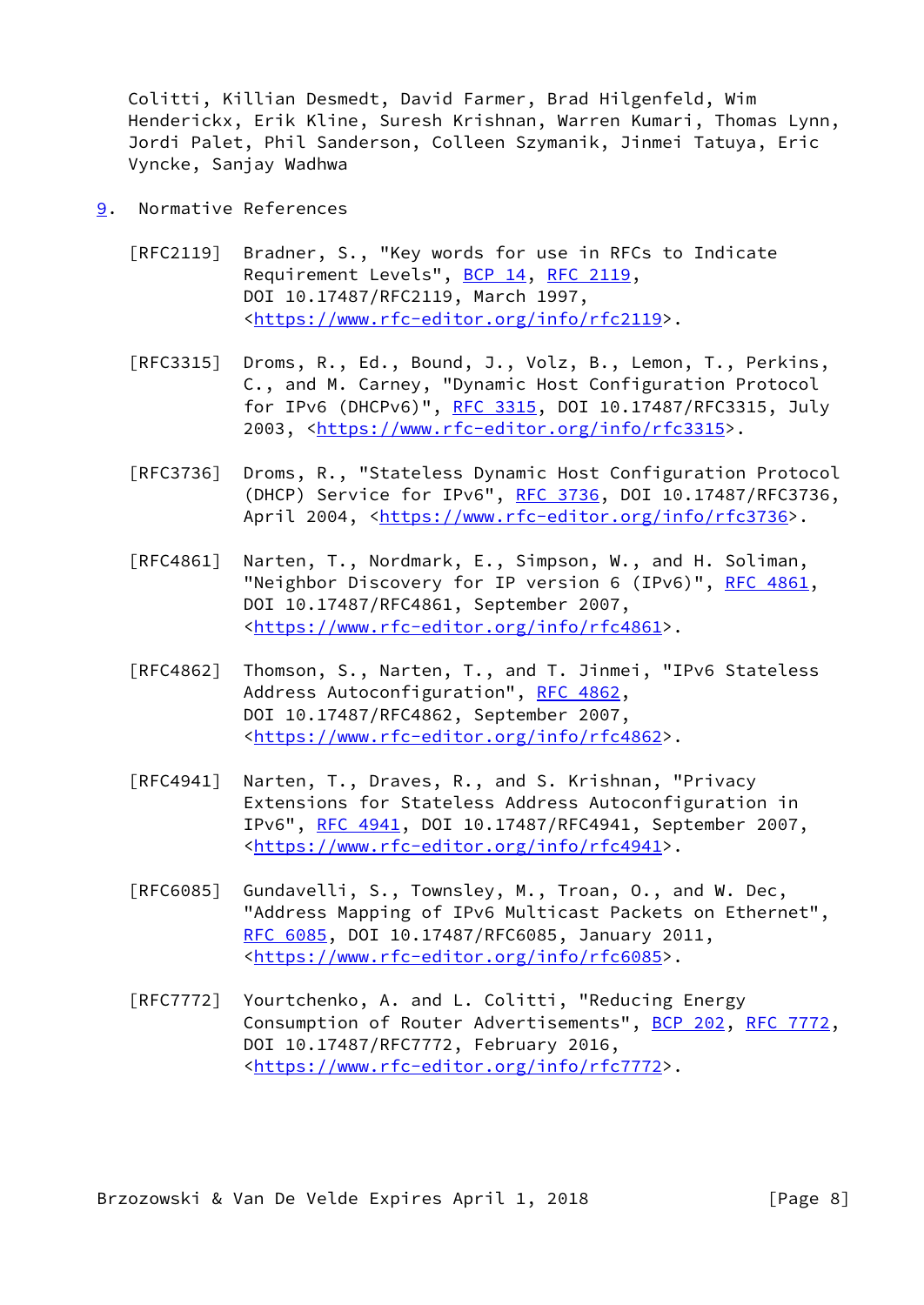Colitti, Killian Desmedt, David Farmer, Brad Hilgenfeld, Wim Henderickx, Erik Kline, Suresh Krishnan, Warren Kumari, Thomas Lynn, Jordi Palet, Phil Sanderson, Colleen Szymanik, Jinmei Tatuya, Eric Vyncke, Sanjay Wadhwa

- <span id="page-8-0"></span>[9](#page-8-0). Normative References
	- [RFC2119] Bradner, S., "Key words for use in RFCs to Indicate Requirement Levels", [BCP 14](https://datatracker.ietf.org/doc/pdf/bcp14), [RFC 2119](https://datatracker.ietf.org/doc/pdf/rfc2119), DOI 10.17487/RFC2119, March 1997, <[https://www.rfc-editor.org/info/rfc2119>](https://www.rfc-editor.org/info/rfc2119).
	- [RFC3315] Droms, R., Ed., Bound, J., Volz, B., Lemon, T., Perkins, C., and M. Carney, "Dynamic Host Configuration Protocol for IPv6 (DHCPv6)", [RFC 3315,](https://datatracker.ietf.org/doc/pdf/rfc3315) DOI 10.17487/RFC3315, July 2003, [<https://www.rfc-editor.org/info/rfc3315](https://www.rfc-editor.org/info/rfc3315)>.
	- [RFC3736] Droms, R., "Stateless Dynamic Host Configuration Protocol (DHCP) Service for IPv6", [RFC 3736](https://datatracker.ietf.org/doc/pdf/rfc3736), DOI 10.17487/RFC3736, April 2004, [<https://www.rfc-editor.org/info/rfc3736](https://www.rfc-editor.org/info/rfc3736)>.
	- [RFC4861] Narten, T., Nordmark, E., Simpson, W., and H. Soliman, "Neighbor Discovery for IP version 6 (IPv6)", [RFC 4861](https://datatracker.ietf.org/doc/pdf/rfc4861), DOI 10.17487/RFC4861, September 2007, <[https://www.rfc-editor.org/info/rfc4861>](https://www.rfc-editor.org/info/rfc4861).
	- [RFC4862] Thomson, S., Narten, T., and T. Jinmei, "IPv6 Stateless Address Autoconfiguration", [RFC 4862,](https://datatracker.ietf.org/doc/pdf/rfc4862) DOI 10.17487/RFC4862, September 2007, <[https://www.rfc-editor.org/info/rfc4862>](https://www.rfc-editor.org/info/rfc4862).
	- [RFC4941] Narten, T., Draves, R., and S. Krishnan, "Privacy Extensions for Stateless Address Autoconfiguration in IPv6", [RFC 4941](https://datatracker.ietf.org/doc/pdf/rfc4941), DOI 10.17487/RFC4941, September 2007, <[https://www.rfc-editor.org/info/rfc4941>](https://www.rfc-editor.org/info/rfc4941).
	- [RFC6085] Gundavelli, S., Townsley, M., Troan, O., and W. Dec, "Address Mapping of IPv6 Multicast Packets on Ethernet", [RFC 6085,](https://datatracker.ietf.org/doc/pdf/rfc6085) DOI 10.17487/RFC6085, January 2011, <[https://www.rfc-editor.org/info/rfc6085>](https://www.rfc-editor.org/info/rfc6085).
	- [RFC7772] Yourtchenko, A. and L. Colitti, "Reducing Energy Consumption of Router Advertisements", [BCP 202](https://datatracker.ietf.org/doc/pdf/bcp202), [RFC 7772,](https://datatracker.ietf.org/doc/pdf/rfc7772) DOI 10.17487/RFC7772, February 2016, <[https://www.rfc-editor.org/info/rfc7772>](https://www.rfc-editor.org/info/rfc7772).